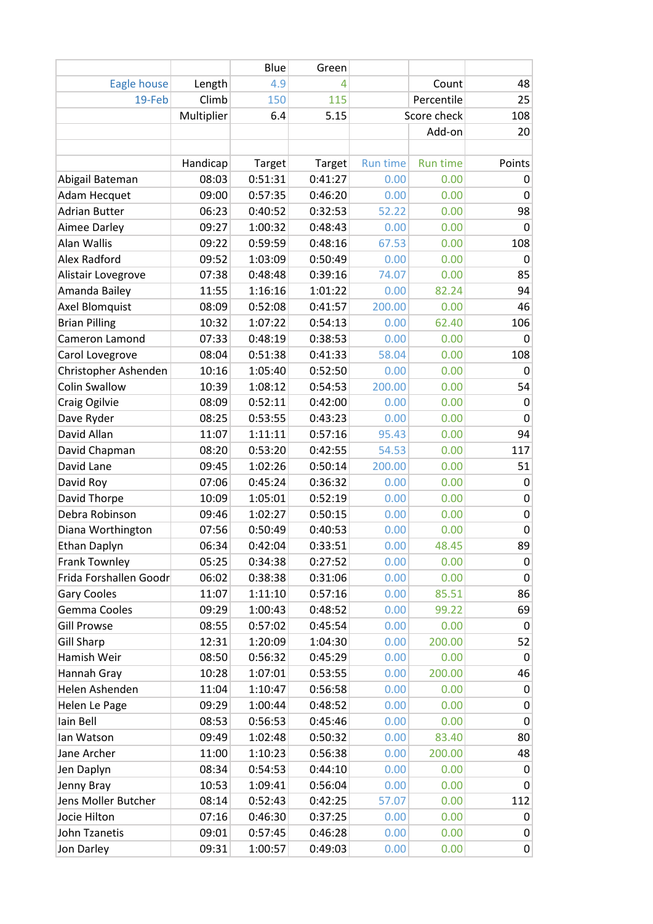|                        |            | Blue    | Green   |                 |                 |             |
|------------------------|------------|---------|---------|-----------------|-----------------|-------------|
| Eagle house            | Length     | 4.9     | 4       |                 | Count           | 48          |
| 19-Feb                 | Climb      | 150     | 115     |                 | Percentile      | 25          |
|                        | Multiplier | 6.4     | 5.15    |                 | Score check     | 108         |
|                        |            |         |         |                 | Add-on          | 20          |
|                        |            |         |         |                 |                 |             |
|                        | Handicap   | Target  | Target  | <b>Run time</b> | <b>Run time</b> | Points      |
| Abigail Bateman        | 08:03      | 0:51:31 | 0:41:27 | 0.00            | 0.00            | 0           |
| Adam Hecquet           | 09:00      | 0:57:35 | 0:46:20 | 0.00            | 0.00            | 0           |
| <b>Adrian Butter</b>   | 06:23      | 0:40:52 | 0:32:53 | 52.22           | 0.00            | 98          |
| Aimee Darley           | 09:27      | 1:00:32 | 0:48:43 | 0.00            | 0.00            | 0           |
| Alan Wallis            | 09:22      | 0:59:59 | 0:48:16 | 67.53           | 0.00            | 108         |
| Alex Radford           | 09:52      | 1:03:09 | 0:50:49 | 0.00            | 0.00            | 0           |
| Alistair Lovegrove     | 07:38      | 0:48:48 | 0:39:16 | 74.07           | 0.00            | 85          |
| Amanda Bailey          | 11:55      | 1:16:16 | 1:01:22 | 0.00            | 82.24           | 94          |
| <b>Axel Blomquist</b>  | 08:09      | 0:52:08 | 0:41:57 | 200.00          | 0.00            | 46          |
| <b>Brian Pilling</b>   | 10:32      | 1:07:22 | 0:54:13 | 0.00            | 62.40           | 106         |
| Cameron Lamond         | 07:33      | 0:48:19 | 0:38:53 | 0.00            | 0.00            | 0           |
| Carol Lovegrove        | 08:04      | 0:51:38 | 0:41:33 | 58.04           | 0.00            | 108         |
| Christopher Ashenden   | 10:16      | 1:05:40 | 0:52:50 | 0.00            | 0.00            | 0           |
| <b>Colin Swallow</b>   | 10:39      | 1:08:12 | 0:54:53 | 200.00          | 0.00            | 54          |
| Craig Ogilvie          | 08:09      | 0:52:11 | 0:42:00 | 0.00            | 0.00            | 0           |
| Dave Ryder             | 08:25      | 0:53:55 | 0:43:23 | 0.00            | 0.00            | $\mathbf 0$ |
| David Allan            | 11:07      | 1:11:11 | 0:57:16 | 95.43           | 0.00            | 94          |
| David Chapman          | 08:20      | 0:53:20 | 0:42:55 | 54.53           | 0.00            | 117         |
| David Lane             | 09:45      | 1:02:26 | 0:50:14 | 200.00          | 0.00            | 51          |
| David Roy              | 07:06      | 0:45:24 | 0:36:32 | 0.00            | 0.00            | 0           |
| David Thorpe           | 10:09      | 1:05:01 | 0:52:19 | 0.00            | 0.00            | $\pmb{0}$   |
| Debra Robinson         | 09:46      | 1:02:27 | 0:50:15 | 0.00            | 0.00            | $\pmb{0}$   |
| Diana Worthington      | 07:56      | 0:50:49 | 0:40:53 | 0.00            | 0.00            | 0           |
| Ethan Daplyn           | 06:34      | 0:42:04 | 0:33:51 | 0.00            | 48.45           | 89          |
| <b>Frank Townley</b>   | 05:25      | 0:34:38 | 0:27:52 | 0.00            | 0.00            | 0           |
| Frida Forshallen Goodr | 06:02      | 0:38:38 | 0:31:06 | 0.00            | 0.00            | 0           |
| <b>Gary Cooles</b>     | 11:07      | 1:11:10 | 0:57:16 | 0.00            | 85.51           | 86          |
| Gemma Cooles           | 09:29      | 1:00:43 | 0:48:52 | 0.00            | 99.22           | 69          |
| <b>Gill Prowse</b>     | 08:55      | 0:57:02 | 0:45:54 | 0.00            | 0.00            | $\pmb{0}$   |
| <b>Gill Sharp</b>      | 12:31      | 1:20:09 | 1:04:30 | 0.00            | 200.00          | 52          |
| Hamish Weir            | 08:50      | 0:56:32 | 0:45:29 | 0.00            | 0.00            | $\mathbf 0$ |
| Hannah Gray            | 10:28      | 1:07:01 | 0:53:55 | 0.00            | 200.00          | 46          |
| Helen Ashenden         | 11:04      | 1:10:47 | 0:56:58 | 0.00            | 0.00            | $\pmb{0}$   |
| Helen Le Page          | 09:29      | 1:00:44 | 0:48:52 | 0.00            | 0.00            | 0           |
| Iain Bell              | 08:53      | 0:56:53 | 0:45:46 | 0.00            | 0.00            | 0           |
| lan Watson             | 09:49      | 1:02:48 | 0:50:32 | 0.00            | 83.40           | 80          |
| Jane Archer            | 11:00      | 1:10:23 | 0:56:38 | 0.00            | 200.00          | 48          |
| Jen Daplyn             | 08:34      | 0:54:53 | 0:44:10 | 0.00            | 0.00            | 0           |
| Jenny Bray             | 10:53      | 1:09:41 | 0:56:04 | 0.00            | 0.00            | 0           |
| Jens Moller Butcher    | 08:14      | 0:52:43 | 0:42:25 | 57.07           | 0.00            | 112         |
| Jocie Hilton           | 07:16      | 0:46:30 | 0:37:25 | 0.00            | 0.00            | 0           |
| John Tzanetis          | 09:01      | 0:57:45 | 0:46:28 | 0.00            | 0.00            | 0           |
| Jon Darley             | 09:31      | 1:00:57 | 0:49:03 | 0.00            | 0.00            | 0           |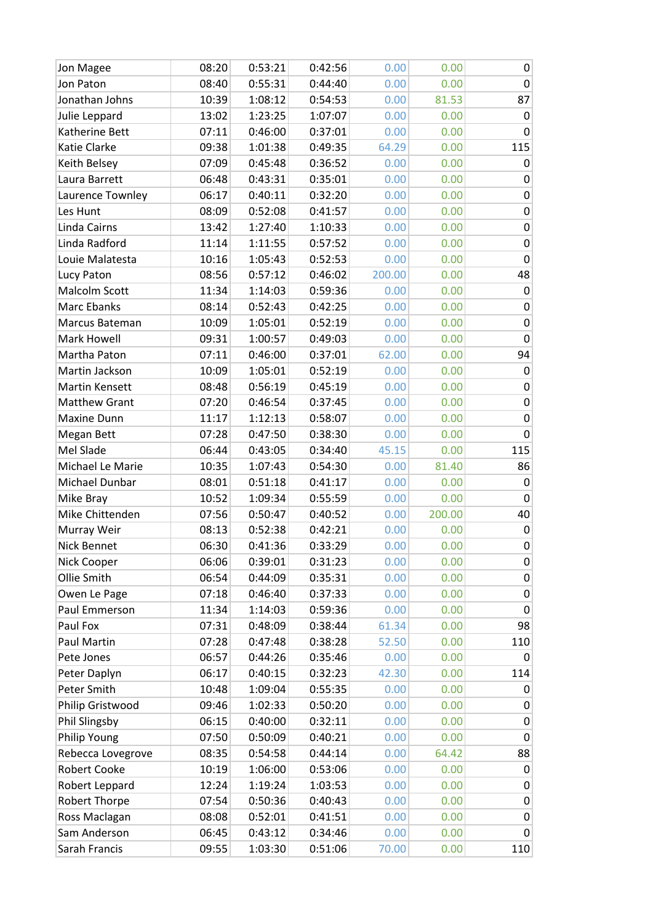| Jon Magee            | 08:20 | 0:53:21 | 0:42:56 | 0.00   | 0.00   | 0                |
|----------------------|-------|---------|---------|--------|--------|------------------|
| Jon Paton            | 08:40 | 0:55:31 | 0:44:40 | 0.00   | 0.00   | 0                |
| Jonathan Johns       | 10:39 | 1:08:12 | 0:54:53 | 0.00   | 81.53  | 87               |
| Julie Leppard        | 13:02 | 1:23:25 | 1:07:07 | 0.00   | 0.00   | $\pmb{0}$        |
| Katherine Bett       | 07:11 | 0:46:00 | 0:37:01 | 0.00   | 0.00   | $\pmb{0}$        |
| Katie Clarke         | 09:38 | 1:01:38 | 0:49:35 | 64.29  | 0.00   | 115              |
| Keith Belsey         | 07:09 | 0:45:48 | 0:36:52 | 0.00   | 0.00   | 0                |
| Laura Barrett        | 06:48 | 0:43:31 | 0:35:01 | 0.00   | 0.00   | 0                |
| Laurence Townley     | 06:17 | 0:40:11 | 0:32:20 | 0.00   | 0.00   | $\pmb{0}$        |
| Les Hunt             | 08:09 | 0:52:08 | 0:41:57 | 0.00   | 0.00   | $\mathbf 0$      |
| Linda Cairns         | 13:42 | 1:27:40 | 1:10:33 | 0.00   | 0.00   | $\boldsymbol{0}$ |
| Linda Radford        | 11:14 | 1:11:55 | 0:57:52 | 0.00   | 0.00   | $\pmb{0}$        |
| Louie Malatesta      | 10:16 | 1:05:43 | 0:52:53 | 0.00   | 0.00   | $\mathbf 0$      |
| Lucy Paton           | 08:56 | 0:57:12 | 0:46:02 | 200.00 | 0.00   | 48               |
| Malcolm Scott        | 11:34 | 1:14:03 | 0:59:36 | 0.00   | 0.00   | 0                |
| Marc Ebanks          | 08:14 | 0:52:43 | 0:42:25 | 0.00   | 0.00   | $\pmb{0}$        |
| Marcus Bateman       | 10:09 | 1:05:01 | 0:52:19 | 0.00   | 0.00   | $\mathbf 0$      |
| Mark Howell          | 09:31 | 1:00:57 | 0:49:03 | 0.00   | 0.00   | $\mathbf 0$      |
| Martha Paton         | 07:11 | 0:46:00 | 0:37:01 | 62.00  | 0.00   | 94               |
| Martin Jackson       | 10:09 | 1:05:01 | 0:52:19 | 0.00   | 0.00   | 0                |
| Martin Kensett       | 08:48 | 0:56:19 | 0:45:19 | 0.00   | 0.00   | $\pmb{0}$        |
| <b>Matthew Grant</b> | 07:20 | 0:46:54 | 0:37:45 | 0.00   | 0.00   | $\boldsymbol{0}$ |
| Maxine Dunn          | 11:17 | 1:12:13 | 0:58:07 | 0.00   | 0.00   | $\pmb{0}$        |
| Megan Bett           | 07:28 | 0:47:50 | 0:38:30 | 0.00   | 0.00   | $\pmb{0}$        |
| Mel Slade            | 06:44 | 0:43:05 | 0:34:40 | 45.15  | 0.00   | 115              |
| Michael Le Marie     | 10:35 | 1:07:43 | 0:54:30 | 0.00   | 81.40  | 86               |
| Michael Dunbar       | 08:01 | 0:51:18 | 0:41:17 | 0.00   | 0.00   | 0                |
| Mike Bray            | 10:52 | 1:09:34 | 0:55:59 | 0.00   | 0.00   | $\boldsymbol{0}$ |
| Mike Chittenden      | 07:56 | 0:50:47 | 0:40:52 | 0.00   | 200.00 | 40               |
| Murray Weir          | 08:13 | 0:52:38 | 0:42:21 | 0.00   | 0.00   | $\pmb{0}$        |
| Nick Bennet          | 06:30 | 0:41:36 | 0:33:29 | 0.00   | 0.00   | 0                |
| Nick Cooper          | 06:06 | 0:39:01 | 0:31:23 | 0.00   | 0.00   | 0                |
| Ollie Smith          | 06:54 | 0:44:09 | 0:35:31 | 0.00   | 0.00   | 0                |
| Owen Le Page         | 07:18 | 0:46:40 | 0:37:33 | 0.00   | 0.00   | 0                |
| Paul Emmerson        | 11:34 | 1:14:03 | 0:59:36 | 0.00   | 0.00   | $\pmb{0}$        |
| Paul Fox             | 07:31 | 0:48:09 | 0:38:44 | 61.34  | 0.00   | 98               |
| Paul Martin          | 07:28 | 0:47:48 | 0:38:28 | 52.50  | 0.00   | 110              |
| Pete Jones           | 06:57 | 0:44:26 | 0:35:46 | 0.00   | 0.00   | 0                |
| Peter Daplyn         | 06:17 | 0:40:15 | 0:32:23 | 42.30  | 0.00   | 114              |
| Peter Smith          | 10:48 | 1:09:04 | 0:55:35 | 0.00   | 0.00   | 0                |
| Philip Gristwood     | 09:46 | 1:02:33 | 0:50:20 | 0.00   | 0.00   | 0                |
| Phil Slingsby        | 06:15 | 0:40:00 | 0:32:11 | 0.00   | 0.00   | $\pmb{0}$        |
| Philip Young         | 07:50 | 0:50:09 | 0:40:21 | 0.00   | 0.00   | 0                |
| Rebecca Lovegrove    | 08:35 | 0:54:58 | 0:44:14 | 0.00   | 64.42  | 88               |
| <b>Robert Cooke</b>  | 10:19 | 1:06:00 | 0:53:06 | 0.00   | 0.00   | 0                |
| Robert Leppard       | 12:24 | 1:19:24 | 1:03:53 | 0.00   | 0.00   | 0                |
| Robert Thorpe        | 07:54 | 0:50:36 | 0:40:43 | 0.00   | 0.00   | 0                |
| Ross Maclagan        | 08:08 | 0:52:01 | 0:41:51 | 0.00   | 0.00   | $\pmb{0}$        |
| Sam Anderson         | 06:45 | 0:43:12 | 0:34:46 | 0.00   | 0.00   | 0                |
| Sarah Francis        | 09:55 | 1:03:30 | 0:51:06 | 70.00  | 0.00   | 110              |